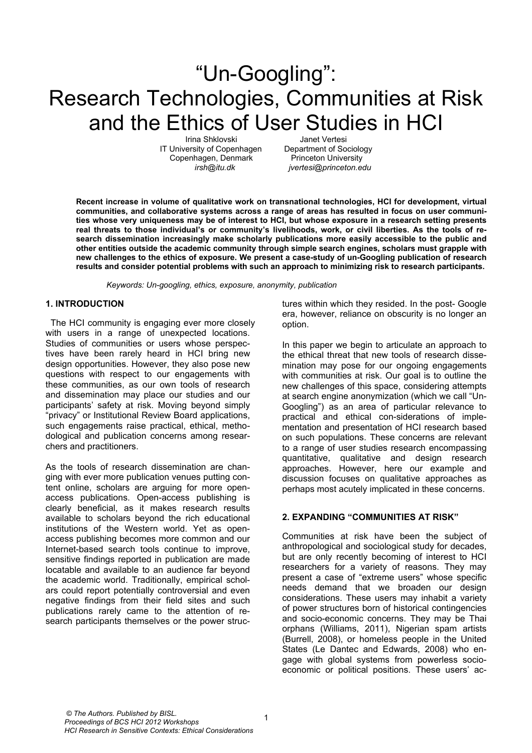# "Un-Googling": Research Technologies, Communities at Risk and the Ethics of User Studies in HCI

Irina Shklovski Janet Vertesi IT University of Copenhagen Department of Sociology Copenhagen, Denmark Princeton University

 *irsh@itu.dk jvertesi@princeton.edu* 

**Recent increase in volume of qualitative work on transnational technologies, HCI for development, virtual communities, and collaborative systems across a range of areas has resulted in focus on user communities whose very uniqueness may be of interest to HCI, but whose exposure in a research setting presents real threats to those individual's or community's livelihoods, work, or civil liberties. As the tools of research dissemination increasingly make scholarly publications more easily accessible to the public and other entities outside the academic community through simple search engines, scholars must grapple with new challenges to the ethics of exposure. We present a case-study of un-Googling publication of research results and consider potential problems with such an approach to minimizing risk to research participants.** 

*Keywords: Un-googling, ethics, exposure, anonymity, publication* 

#### **1. INTRODUCTION**

? The HCI community is engaging ever more closely with users in a range of unexpected locations. Studies of communities or users whose perspectives have been rarely heard in HCI bring new design opportunities. However, they also pose new questions with respect to our engagements with these communities, as our own tools of research and dissemination may place our studies and our participants' safety at risk. Moving beyond simply "privacy" or Institutional Review Board applications, such engagements raise practical, ethical, methodological and publication concerns among researchers and practitioners.

As the tools of research dissemination are changing with ever more publication venues putting content online, scholars are arguing for more openaccess publications. Open-access publishing is clearly beneficial, as it makes research results available to scholars beyond the rich educational institutions of the Western world. Yet as openaccess publishing becomes more common and our Internet-based search tools continue to improve, sensitive findings reported in publication are made locatable and available to an audience far beyond the academic world. Traditionally, empirical scholars could report potentially controversial and even negative findings from their field sites and such publications rarely came to the attention of research participants themselves or the power structures within which they resided. In the post- Google era, however, reliance on obscurity is no longer an option.

In this paper we begin to articulate an approach to the ethical threat that new tools of research dissemination may pose for our ongoing engagements with communities at risk. Our goal is to outline the new challenges of this space, considering attempts at search engine anonymization (which we call "Un-Googling") as an area of particular relevance to practical and ethical con-siderations of implementation and presentation of HCI research based on such populations. These concerns are relevant to a range of user studies research encompassing quantitative, qualitative and design research approaches. However, here our example and discussion focuses on qualitative approaches as perhaps most acutely implicated in these concerns.

#### **2. EXPANDING "COMMUNITIES AT RISK"**

Communities at risk have been the subject of anthropological and sociological study for decades, but are only recently becoming of interest to HCI researchers for a variety of reasons. They may present a case of "extreme users" whose specific needs demand that we broaden our design considerations. These users may inhabit a variety of power structures born of historical contingencies and socio-economic concerns. They may be Thai orphans (Williams, 2011), Nigerian spam artists (Burrell, 2008), or homeless people in the United States (Le Dantec and Edwards, 2008) who engage with global systems from powerless socioeconomic or political positions. These users' ac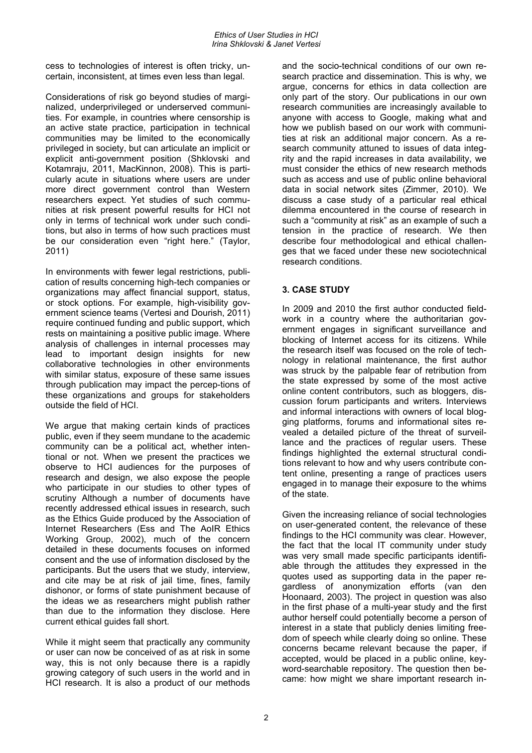cess to technologies of interest is often tricky, uncertain, inconsistent, at times even less than legal.

Considerations of risk go beyond studies of marginalized, underprivileged or underserved communities. For example, in countries where censorship is an active state practice, participation in technical communities may be limited to the economically privileged in society, but can articulate an implicit or explicit anti-government position (Shklovski and Kotamraju, 2011, MacKinnon, 2008). This is particularly acute in situations where users are under more direct government control than Western researchers expect. Yet studies of such communities at risk present powerful results for HCI not only in terms of technical work under such conditions, but also in terms of how such practices must be our consideration even "right here." (Taylor, 2011)

In environments with fewer legal restrictions, publication of results concerning high-tech companies or organizations may affect financial support, status, or stock options. For example, high-visibility government science teams (Vertesi and Dourish, 2011) require continued funding and public support, which rests on maintaining a positive public image. Where analysis of challenges in internal processes may lead to important design insights for new collaborative technologies in other environments with similar status, exposure of these same issues through publication may impact the percep-tions of these organizations and groups for stakeholders outside the field of HCI.

We argue that making certain kinds of practices public, even if they seem mundane to the academic community can be a political act, whether intentional or not. When we present the practices we observe to HCI audiences for the purposes of research and design, we also expose the people who participate in our studies to other types of scrutiny Although a number of documents have recently addressed ethical issues in research, such as the Ethics Guide produced by the Association of Internet Researchers (Ess and The AoIR Ethics Working Group, 2002), much of the concern detailed in these documents focuses on informed consent and the use of information disclosed by the participants. But the users that we study, interview, and cite may be at risk of jail time, fines, family dishonor, or forms of state punishment because of the ideas we as researchers might publish rather than due to the information they disclose. Here current ethical guides fall short.

While it might seem that practically any community or user can now be conceived of as at risk in some way, this is not only because there is a rapidly growing category of such users in the world and in HCI research. It is also a product of our methods and the socio-technical conditions of our own research practice and dissemination. This is why, we argue, concerns for ethics in data collection are only part of the story. Our publications in our own research communities are increasingly available to anyone with access to Google, making what and how we publish based on our work with communities at risk an additional major concern. As a research community attuned to issues of data integrity and the rapid increases in data availability, we must consider the ethics of new research methods such as access and use of public online behavioral data in social network sites (Zimmer, 2010). We discuss a case study of a particular real ethical dilemma encountered in the course of research in such a "community at risk" as an example of such a tension in the practice of research. We then describe four methodological and ethical challenges that we faced under these new sociotechnical research conditions.

## **3. CASE STUDY**

In 2009 and 2010 the first author conducted fieldwork in a country where the authoritarian government engages in significant surveillance and blocking of Internet access for its citizens. While the research itself was focused on the role of technology in relational maintenance, the first author was struck by the palpable fear of retribution from the state expressed by some of the most active online content contributors, such as bloggers, discussion forum participants and writers. Interviews and informal interactions with owners of local blogging platforms, forums and informational sites revealed a detailed picture of the threat of surveillance and the practices of regular users. These findings highlighted the external structural conditions relevant to how and why users contribute content online, presenting a range of practices users engaged in to manage their exposure to the whims of the state.

Given the increasing reliance of social technologies on user-generated content, the relevance of these findings to the HCI community was clear. However, the fact that the local IT community under study was very small made specific participants identifiable through the attitudes they expressed in the quotes used as supporting data in the paper regardless of anonymization efforts (van den Hoonaard, 2003). The project in question was also in the first phase of a multi-year study and the first author herself could potentially become a person of interest in a state that publicly denies limiting freedom of speech while clearly doing so online. These concerns became relevant because the paper, if accepted, would be placed in a public online, keyword-searchable repository. The question then became: how might we share important research in-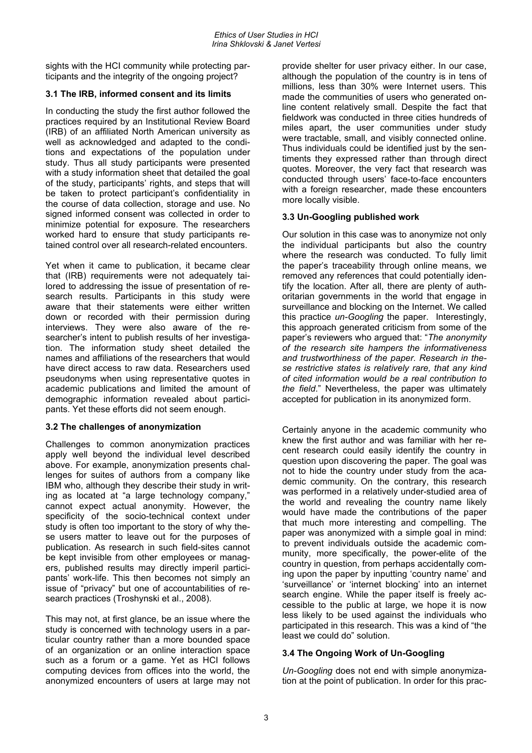sights with the HCI community while protecting participants and the integrity of the ongoing project?

#### **3.1 The IRB, informed consent and its limits**

In conducting the study the first author followed the practices required by an Institutional Review Board (IRB) of an affiliated North American university as well as acknowledged and adapted to the conditions and expectations of the population under study. Thus all study participants were presented with a study information sheet that detailed the goal of the study, participants' rights, and steps that will be taken to protect participant's confidentiality in the course of data collection, storage and use. No signed informed consent was collected in order to minimize potential for exposure. The researchers worked hard to ensure that study participants retained control over all research-related encounters.

Yet when it came to publication, it became clear that (IRB) requirements were not adequately tailored to addressing the issue of presentation of research results. Participants in this study were aware that their statements were either written down or recorded with their permission during interviews. They were also aware of the researcher's intent to publish results of her investigation. The information study sheet detailed the names and affiliations of the researchers that would have direct access to raw data. Researchers used pseudonyms when using representative quotes in academic publications and limited the amount of demographic information revealed about participants. Yet these efforts did not seem enough.

#### **3.2 The challenges of anonymization**

Challenges to common anonymization practices apply well beyond the individual level described above. For example, anonymization presents challenges for suites of authors from a company like IBM who, although they describe their study in writing as located at "a large technology company," cannot expect actual anonymity. However, the specificity of the socio-technical context under study is often too important to the story of why these users matter to leave out for the purposes of publication. As research in such field-sites cannot be kept invisible from other employees or managers, published results may directly imperil participants' work-life. This then becomes not simply an issue of "privacy" but one of accountabilities of research practices (Troshynski et al., 2008).

This may not, at first glance, be an issue where the study is concerned with technology users in a particular country rather than a more bounded space of an organization or an online interaction space such as a forum or a game. Yet as HCI follows computing devices from offices into the world, the anonymized encounters of users at large may not provide shelter for user privacy either. In our case, although the population of the country is in tens of millions, less than 30% were Internet users. This made the communities of users who generated online content relatively small. Despite the fact that fieldwork was conducted in three cities hundreds of miles apart, the user communities under study were tractable, small, and visibly connected online. Thus individuals could be identified just by the sentiments they expressed rather than through direct quotes. Moreover, the very fact that research was conducted through users' face-to-face encounters with a foreign researcher, made these encounters more locally visible.

#### **3.3 Un-Googling published work**

Our solution in this case was to anonymize not only the individual participants but also the country where the research was conducted. To fully limit the paper's traceability through online means, we removed any references that could potentially identify the location. After all, there are plenty of authoritarian governments in the world that engage in surveillance and blocking on the Internet. We called this practice *un-Googling* the paper. Interestingly, this approach generated criticism from some of the paper's reviewers who argued that: "*The anonymity of the research site hampers the informativeness and trustworthiness of the paper. Research in these restrictive states is relatively rare, that any kind of cited information would be a real contribution to the field*." Nevertheless, the paper was ultimately accepted for publication in its anonymized form.

Certainly anyone in the academic community who knew the first author and was familiar with her recent research could easily identify the country in question upon discovering the paper. The goal was not to hide the country under study from the academic community. On the contrary, this research was performed in a relatively under-studied area of the world and revealing the country name likely would have made the contributions of the paper that much more interesting and compelling. The paper was anonymized with a simple goal in mind: to prevent individuals outside the academic community, more specifically, the power-elite of the country in question, from perhaps accidentally coming upon the paper by inputting 'country name' and 'surveillance' or 'internet blocking' into an internet search engine. While the paper itself is freely accessible to the public at large, we hope it is now less likely to be used against the individuals who participated in this research. This was a kind of "the least we could do" solution.

#### **3.4 The Ongoing Work of Un-Googling**

*Un-Googling* does not end with simple anonymization at the point of publication. In order for this prac